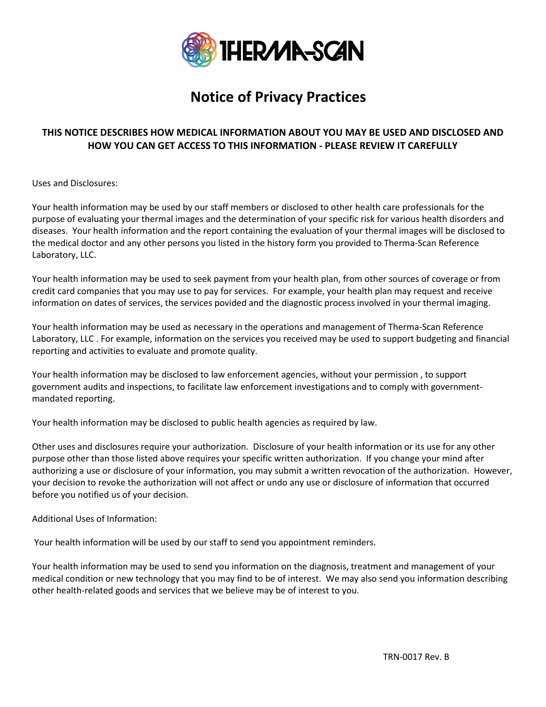

# **Notice of Privacy Practices**

## **THIS NOTICE DESCRIBES HOW MEDICAL INFORMATION ABOUT YOU MAY BE USED AND DISCLOSED AND HOW YOU CAN GET ACCESS TO THIS INFORMATION - PLEASE REVIEW IT CAREFULLY**

Uses and Disclosures:

Your health information may be used by our staff members or disclosed to other health care professionals for the purpose of evaluating your thermal images and the determination of your specific risk for various health disorders and diseases. Your health information and the report containing the evaluation of your thermal images will be disclosed to the medical doctor and any other persons you listed in the history form you provided to Therma-Scan Reference Laboratory, LLC.

Your health information may be used to seek payment from your health plan, from other sources of coverage or from credit card companies that you may use to pay for services. For example, your health plan may request and receive information on dates of services, the services povided and the diagnostic process involved in your thermal imaging.

Your health information may be used as necessary in the operations and management of Therma-Scan Reference Laboratory, LLC . For example, information on the services you received may be used to support budgeting and financial reporting and activities to evaluate and promote quality.

Your health information may be disclosed to law enforcement agencies, without your permission , to support government audits and inspections, to facilitate law enforcement investigations and to comply with governmentmandated reporting.

Your health information may be disclosed to public health agencies as required by law.

Other uses and disclosures require your authorization. Disclosure of your health information or its use for any other purpose other than those listed above requires your specific written authorization. If you change your mind after authorizing a use or disclosure of your information, you may submit a written revocation of the authorization. However, your decision to revoke the authorization will not affect or undo any use or disclosure of information that occurred before you notified us of your decision.

Additional Uses of Information:

Your health information will be used by our staff to send you appointment reminders.

Your health information may be used to send you information on the diagnosis, treatment and management of your medical condition or new technology that you may find to be of interest. We may also send you information describing other health-related goods and services that we believe may be of interest to you.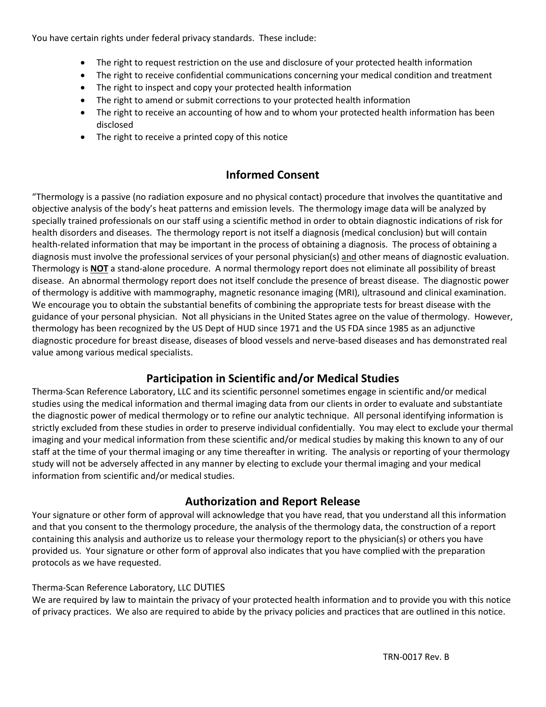You have certain rights under federal privacy standards. These include:

- The right to request restriction on the use and disclosure of your protected health information
- The right to receive confidential communications concerning your medical condition and treatment
- The right to inspect and copy your protected health information
- The right to amend or submit corrections to your protected health information
- The right to receive an accounting of how and to whom your protected health information has been disclosed
- The right to receive a printed copy of this notice

# **Informed Consent**

"Thermology is a passive (no radiation exposure and no physical contact) procedure that involves the quantitative and objective analysis of the body's heat patterns and emission levels. The thermology image data will be analyzed by specially trained professionals on our staff using a scientific method in order to obtain diagnostic indications of risk for health disorders and diseases. The thermology report is not itself a diagnosis (medical conclusion) but will contain health-related information that may be important in the process of obtaining a diagnosis. The process of obtaining a diagnosis must involve the professional services of your personal physician(s) and other means of diagnostic evaluation. Thermology is **NOT** a stand-alone procedure. A normal thermology report does not eliminate all possibility of breast disease. An abnormal thermology report does not itself conclude the presence of breast disease. The diagnostic power of thermology is additive with mammography, magnetic resonance imaging (MRI), ultrasound and clinical examination. We encourage you to obtain the substantial benefits of combining the appropriate tests for breast disease with the guidance of your personal physician. Not all physicians in the United States agree on the value of thermology. However, thermology has been recognized by the US Dept of HUD since 1971 and the US FDA since 1985 as an adjunctive diagnostic procedure for breast disease, diseases of blood vessels and nerve-based diseases and has demonstrated real value among various medical specialists.

# **Participation in Scientific and/or Medical Studies**

Therma-Scan Reference Laboratory, LLC and its scientific personnel sometimes engage in scientific and/or medical studies using the medical information and thermal imaging data from our clients in order to evaluate and substantiate the diagnostic power of medical thermology or to refine our analytic technique. All personal identifying information is strictly excluded from these studies in order to preserve individual confidentially. You may elect to exclude your thermal imaging and your medical information from these scientific and/or medical studies by making this known to any of our staff at the time of your thermal imaging or any time thereafter in writing. The analysis or reporting of your thermology study will not be adversely affected in any manner by electing to exclude your thermal imaging and your medical information from scientific and/or medical studies.

## **Authorization and Report Release**

Your signature or other form of approval will acknowledge that you have read, that you understand all this information and that you consent to the thermology procedure, the analysis of the thermology data, the construction of a report containing this analysis and authorize us to release your thermology report to the physician(s) or others you have provided us. Your signature or other form of approval also indicates that you have complied with the preparation protocols as we have requested.

#### Therma-Scan Reference Laboratory, LLC DUTIES

We are required by law to maintain the privacy of your protected health information and to provide you with this notice of privacy practices. We also are required to abide by the privacy policies and practices that are outlined in this notice.